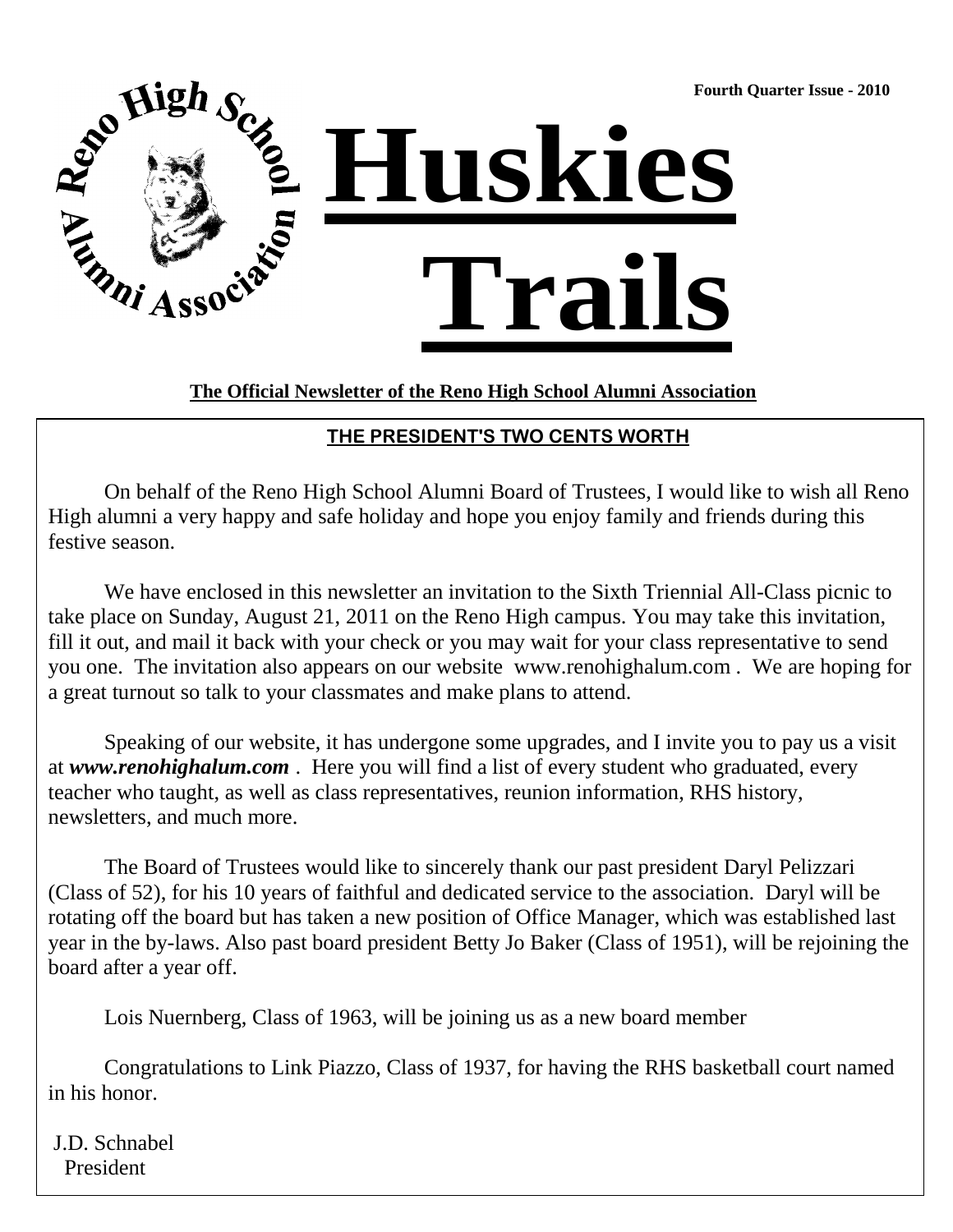**Fourth Quarter Issue - 2010**



### **The Official Newsletter of the Reno High School Alumni Association**

### **THE PRESIDENT'S TWO CENTS WORTH**

On behalf of the Reno High School Alumni Board of Trustees, I would like to wish all Reno High alumni a very happy and safe holiday and hope you enjoy family and friends during this festive season.

We have enclosed in this newsletter an invitation to the Sixth Triennial All-Class picnic to take place on Sunday, August 21, 2011 on the Reno High campus. You may take this invitation, fill it out, and mail it back with your check or you may wait for your class representative to send you one. The invitation also appears on our website www.renohighalum.com . We are hoping for a great turnout so talk to your classmates and make plans to attend.

Speaking of our website, it has undergone some upgrades, and I invite you to pay us a visit at *www.renohighalum.com* . Here you will find a list of every student who graduated, every teacher who taught, as well as class representatives, reunion information, RHS history, newsletters, and much more.

The Board of Trustees would like to sincerely thank our past president Daryl Pelizzari (Class of 52), for his 10 years of faithful and dedicated service to the association. Daryl will be rotating off the board but has taken a new position of Office Manager, which was established last year in the by-laws. Also past board president Betty Jo Baker (Class of 1951), will be rejoining the board after a year off.

Lois Nuernberg, Class of 1963, will be joining us as a new board member

Congratulations to Link Piazzo, Class of 1937, for having the RHS basketball court named in his honor.

J.D. Schnabel President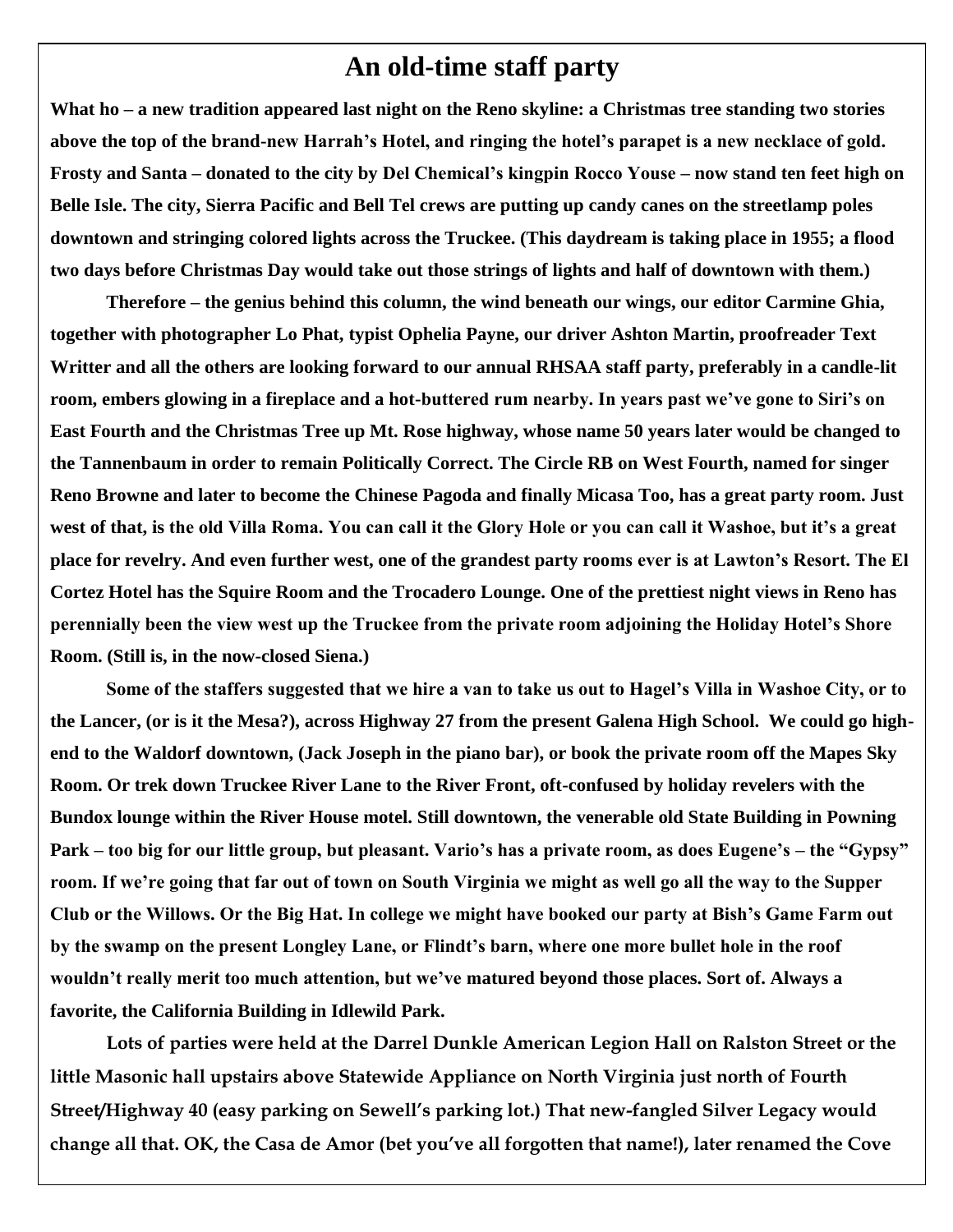### **An old-time staff party**

**What ho – a new tradition appeared last night on the Reno skyline: a Christmas tree standing two stories above the top of the brand-new Harrah"s Hotel, and ringing the hotel"s parapet is a new necklace of gold. Frosty and Santa – donated to the city by Del Chemical"s kingpin Rocco Youse – now stand ten feet high on Belle Isle. The city, Sierra Pacific and Bell Tel crews are putting up candy canes on the streetlamp poles downtown and stringing colored lights across the Truckee. (This daydream is taking place in 1955; a flood two days before Christmas Day would take out those strings of lights and half of downtown with them.)**

**Therefore – the genius behind this column, the wind beneath our wings, our editor Carmine Ghia, together with photographer Lo Phat, typist Ophelia Payne, our driver Ashton Martin, proofreader Text Writter and all the others are looking forward to our annual RHSAA staff party, preferably in a candle-lit room, embers glowing in a fireplace and a hot-buttered rum nearby. In years past we"ve gone to Siri"s on East Fourth and the Christmas Tree up Mt. Rose highway, whose name 50 years later would be changed to the Tannenbaum in order to remain Politically Correct. The Circle RB on West Fourth, named for singer Reno Browne and later to become the Chinese Pagoda and finally Micasa Too, has a great party room. Just**  west of that, is the old Villa Roma. You can call it the Glory Hole or you can call it Washoe, but it's a great **place for revelry. And even further west, one of the grandest party rooms ever is at Lawton"s Resort. The El Cortez Hotel has the Squire Room and the Trocadero Lounge. One of the prettiest night views in Reno has perennially been the view west up the Truckee from the private room adjoining the Holiday Hotel"s Shore Room. (Still is, in the now-closed Siena.)**

**Some of the staffers suggested that we hire a van to take us out to Hagel"s Villa in Washoe City, or to the Lancer, (or is it the Mesa?), across Highway 27 from the present Galena High School. We could go highend to the Waldorf downtown, (Jack Joseph in the piano bar), or book the private room off the Mapes Sky Room. Or trek down Truckee River Lane to the River Front, oft-confused by holiday revelers with the Bundox lounge within the River House motel. Still downtown, the venerable old State Building in Powning Park – too big for our little group, but pleasant. Vario"s has a private room, as does Eugene"s – the "Gypsy" room. If we"re going that far out of town on South Virginia we might as well go all the way to the Supper Club or the Willows. Or the Big Hat. In college we might have booked our party at Bish"s Game Farm out by the swamp on the present Longley Lane, or Flindt"s barn, where one more bullet hole in the roof wouldn"t really merit too much attention, but we"ve matured beyond those places. Sort of. Always a favorite, the California Building in Idlewild Park.**

**Lots of parties were held at the Darrel Dunkle American Legion Hall on Ralston Street or the little Masonic hall upstairs above Statewide Appliance on North Virginia just north of Fourth Street/Highway 40 (easy parking on Sewell's parking lot.) That new-fangled Silver Legacy would change all that. OK, the Casa de Amor (bet you've all forgotten that name!), later renamed the Cove**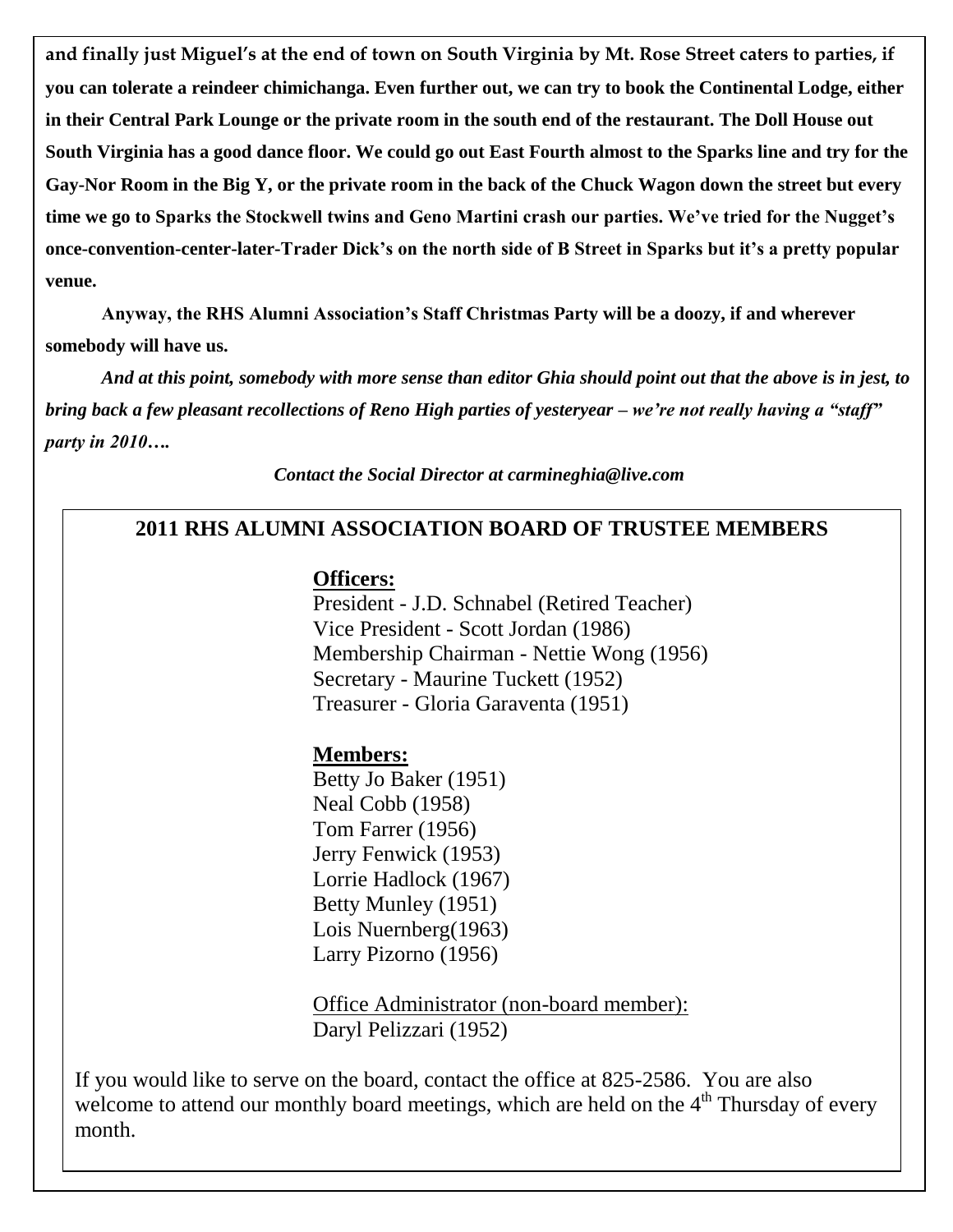**and finally just Miguel's at the end of town on South Virginia by Mt. Rose Street caters to parties, if you can tolerate a reindeer chimichanga. Even further out, we can try to book the Continental Lodge, either in their Central Park Lounge or the private room in the south end of the restaurant. The Doll House out South Virginia has a good dance floor. We could go out East Fourth almost to the Sparks line and try for the Gay-Nor Room in the Big Y, or the private room in the back of the Chuck Wagon down the street but every time we go to Sparks the Stockwell twins and Geno Martini crash our parties. We"ve tried for the Nugget"s once-convention-center-later-Trader Dick"s on the north side of B Street in Sparks but it"s a pretty popular venue.**

**Anyway, the RHS Alumni Association"s Staff Christmas Party will be a doozy, if and wherever somebody will have us.** 

*And at this point, somebody with more sense than editor Ghia should point out that the above is in jest, to bring back a few pleasant recollections of Reno High parties of yesteryear – we're not really having a "staff" party in 2010….*

*Contact the Social Director at carmineghia@live.com*

### **2011 RHS ALUMNI ASSOCIATION BOARD OF TRUSTEE MEMBERS**

#### **Officers:**

President - J.D. Schnabel (Retired Teacher) Vice President - Scott Jordan (1986) Membership Chairman - Nettie Wong (1956) Secretary - Maurine Tuckett (1952) Treasurer - Gloria Garaventa (1951)

### **Members:**

Betty Jo Baker (1951) Neal Cobb (1958) Tom Farrer (1956) Jerry Fenwick (1953) Lorrie Hadlock (1967) Betty Munley (1951) Lois Nuernberg(1963) Larry Pizorno (1956)

Office Administrator (non-board member): Daryl Pelizzari (1952)

If you would like to serve on the board, contact the office at 825-2586. You are also welcome to attend our monthly board meetings, which are held on the  $4<sup>th</sup>$  Thursday of every month.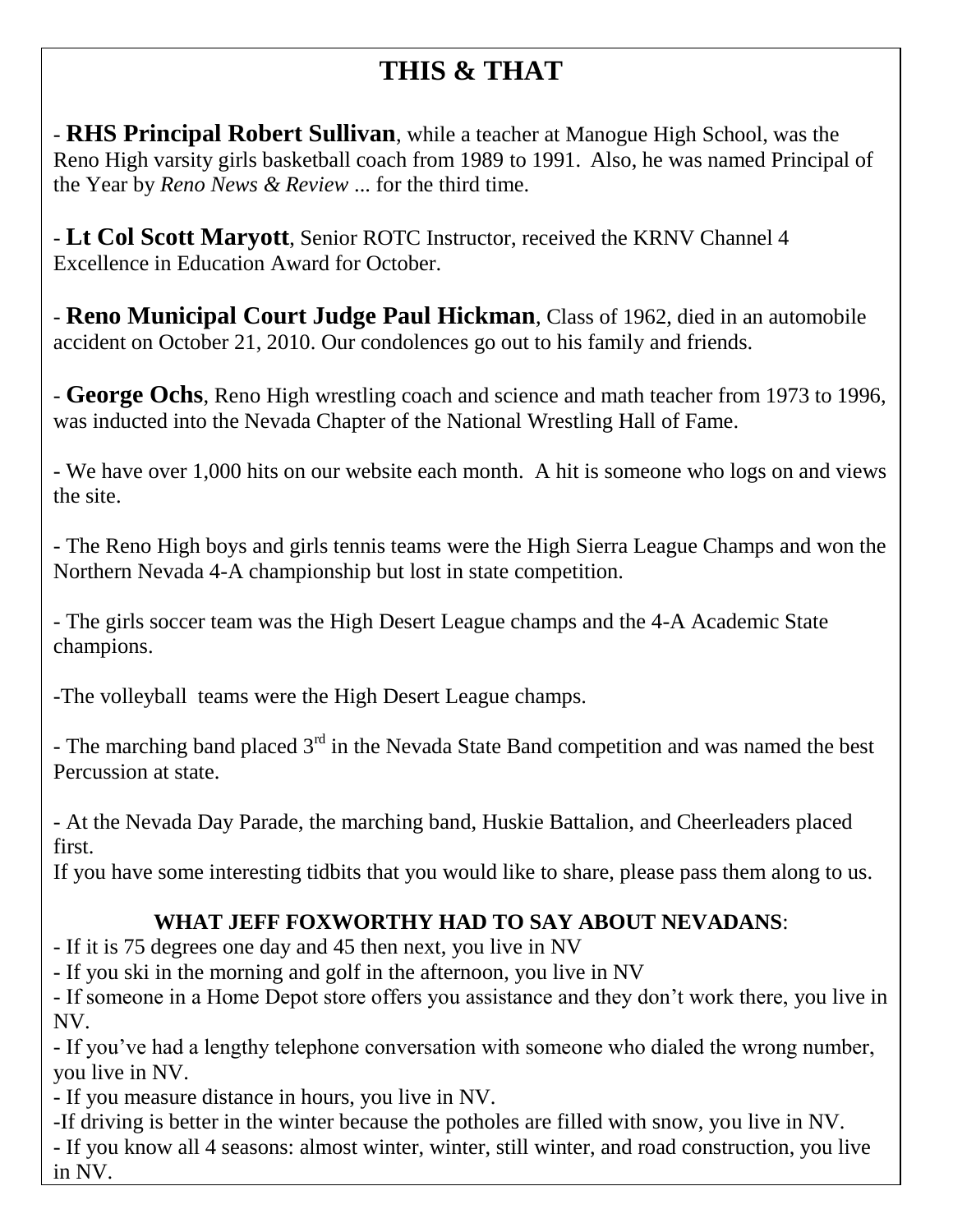# **THIS & THAT**

- **RHS Principal Robert Sullivan**, while a teacher at Manogue High School, was the Reno High varsity girls basketball coach from 1989 to 1991. Also, he was named Principal of the Year by *Reno News & Review* ... for the third time.

- **Lt Col Scott Maryott**, Senior ROTC Instructor, received the KRNV Channel 4 Excellence in Education Award for October.

- **Reno Municipal Court Judge Paul Hickman**, Class of 1962, died in an automobile accident on October 21, 2010. Our condolences go out to his family and friends.

- **George Ochs**, Reno High wrestling coach and science and math teacher from 1973 to 1996, was inducted into the Nevada Chapter of the National Wrestling Hall of Fame.

- We have over 1,000 hits on our website each month. A hit is someone who logs on and views the site.

- The Reno High boys and girls tennis teams were the High Sierra League Champs and won the Northern Nevada 4-A championship but lost in state competition.

- The girls soccer team was the High Desert League champs and the 4-A Academic State champions.

-The volleyball teams were the High Desert League champs.

- The marching band placed  $3<sup>rd</sup>$  in the Nevada State Band competition and was named the best Percussion at state.

- At the Nevada Day Parade, the marching band, Huskie Battalion, and Cheerleaders placed first.

If you have some interesting tidbits that you would like to share, please pass them along to us.

## **WHAT JEFF FOXWORTHY HAD TO SAY ABOUT NEVADANS**:

- If it is 75 degrees one day and 45 then next, you live in NV

- If you ski in the morning and golf in the afternoon, you live in NV

- If someone in a Home Depot store offers you assistance and they don't work there, you live in NV.

- If you've had a lengthy telephone conversation with someone who dialed the wrong number, you live in NV.

- If you measure distance in hours, you live in NV.

-If driving is better in the winter because the potholes are filled with snow, you live in NV.

- If you know all 4 seasons: almost winter, winter, still winter, and road construction, you live in NV.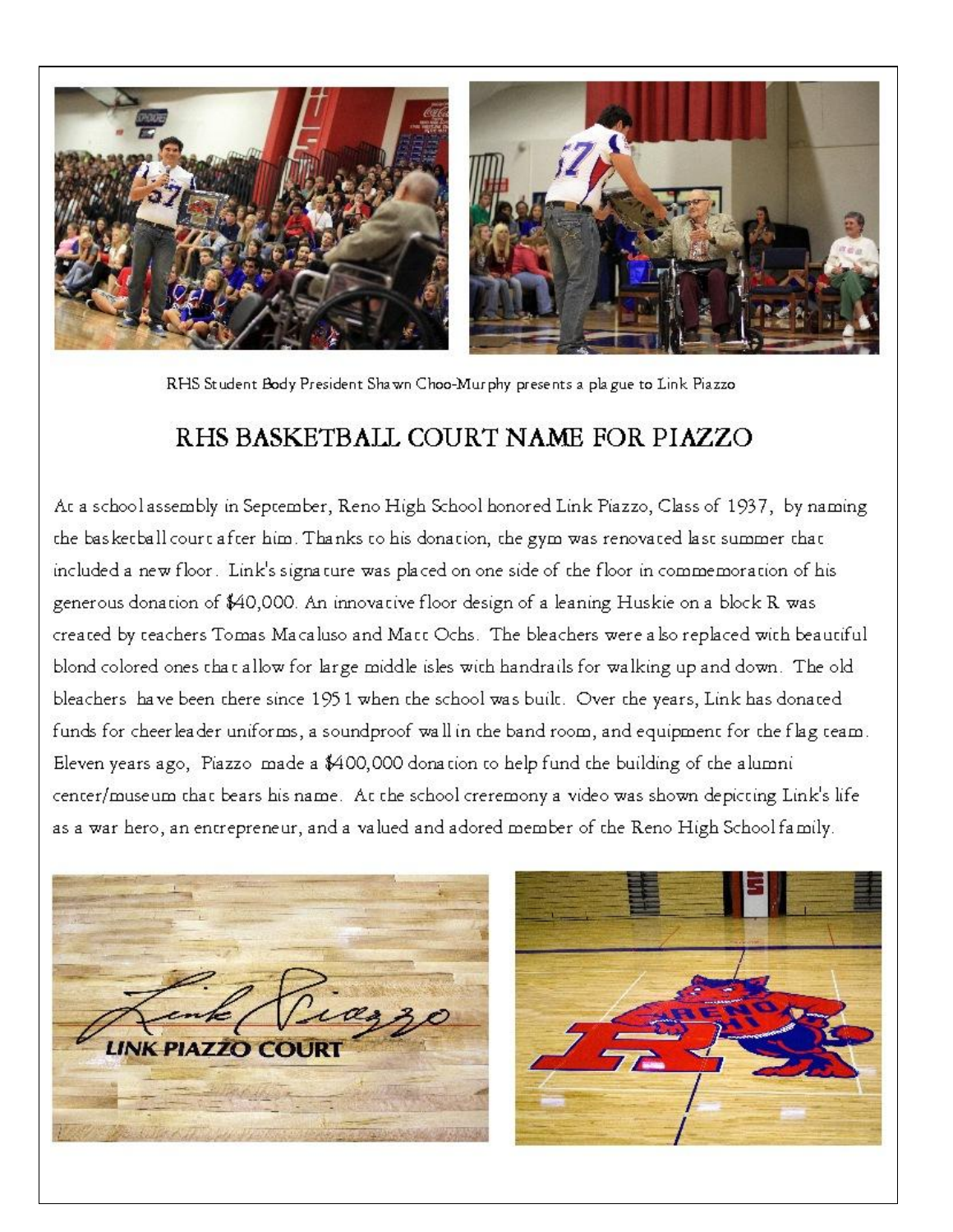

RHS Student Body President Shawn Choo-Murphy presents a plague to Link Piazzo

## RHS BASKETBALL COURT NAME FOR PIAZZO

At a school assembly in September, Reno High School honored Link Piazzo, Class of 1937, by naming the basketball court after him. Thanks to his donation, the gym was renovated last summer that included a new floor. Link's signature was placed on one side of the floor in commemoration of his generous donation of \$40,000. An innovative floor design of a leaning Huskie on a block R was created by teachers Tomas Macaluso and Matt Ochs. The bleachers were also replaced with beautiful blond colored ones that allow for large middle isles with handrails for walking up and down. The old bleachers have been there since 1951 when the school was built. Over the years, Link has donated funds for cheerleader uniforms, a soundproof wall in the band room, and equipment for the flag team. Eleven years ago, Piazzo made a \$400,000 donation to help fund the building of the alumni center/museum that bears his name. At the school creremony a video was shown depicting Link's life as a war hero, an entrepreneur, and a valued and adored member of the Reno High School family.



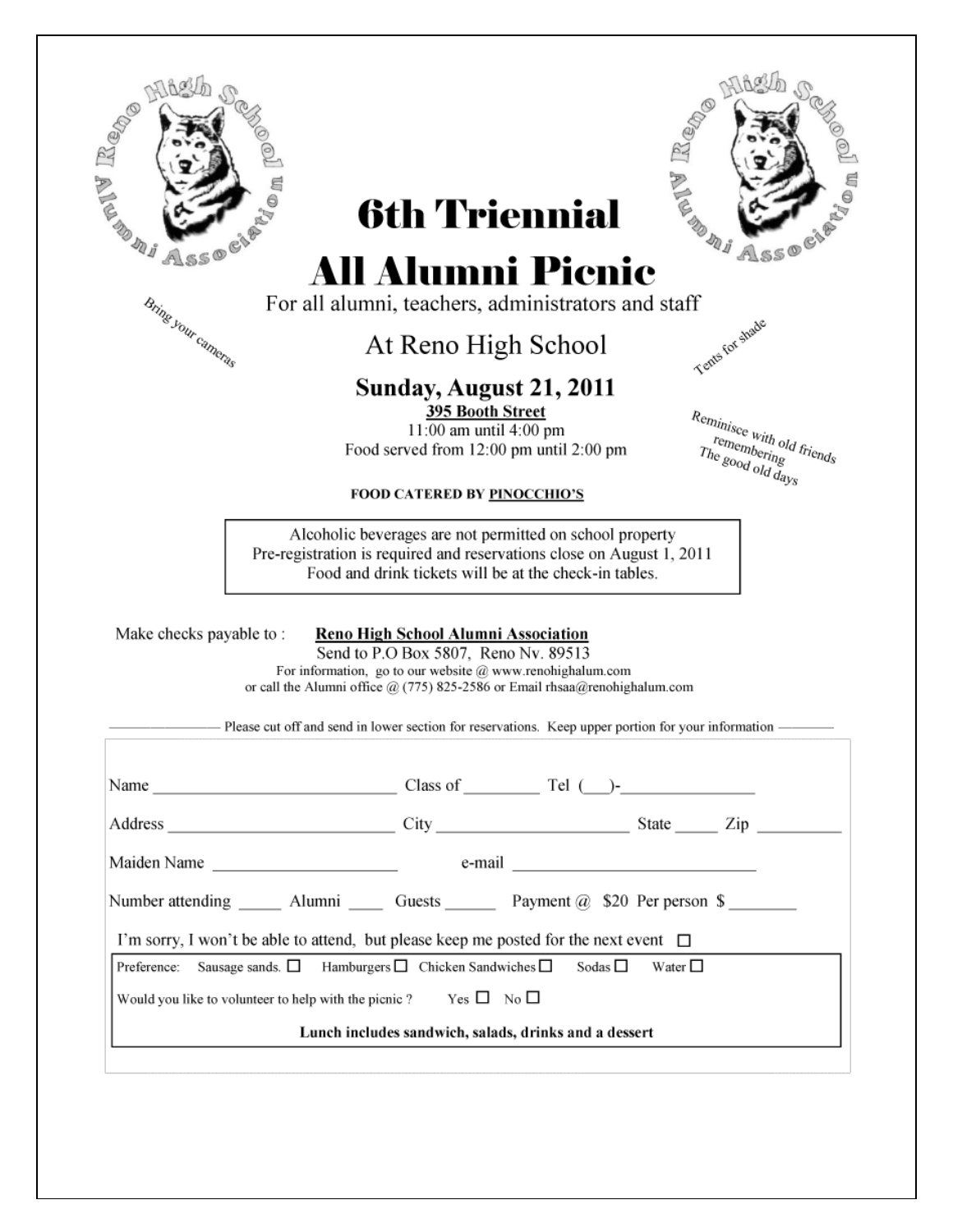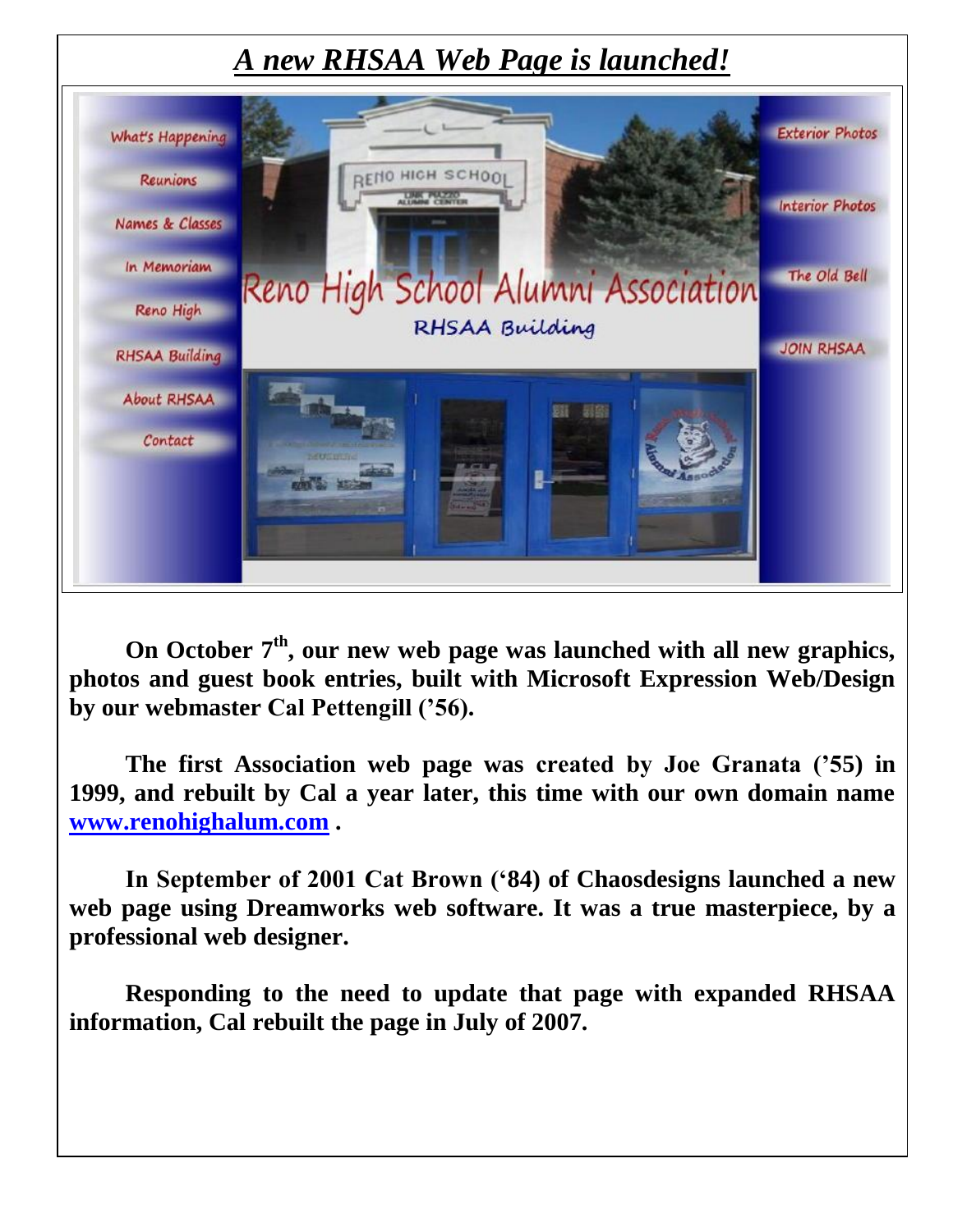## *A new RHSAA Web Page is launched!*



On October 7<sup>th</sup>, our new web page was launched with all new graphics, **photos and guest book entries, built with Microsoft Expression Web/Design by our webmaster Cal Pettengill ("56).**

**The first Association web page was created by Joe Granata ("55) in 1999, and rebuilt by Cal a year later, this time with our own domain name [www.renohighalum.com](http://www.renohighalum.com/) .**

**In September of 2001 Cat Brown ("84) of Chaosdesigns launched a new web page using Dreamworks web software. It was a true masterpiece, by a professional web designer.**

**Responding to the need to update that page with expanded RHSAA information, Cal rebuilt the page in July of 2007.**